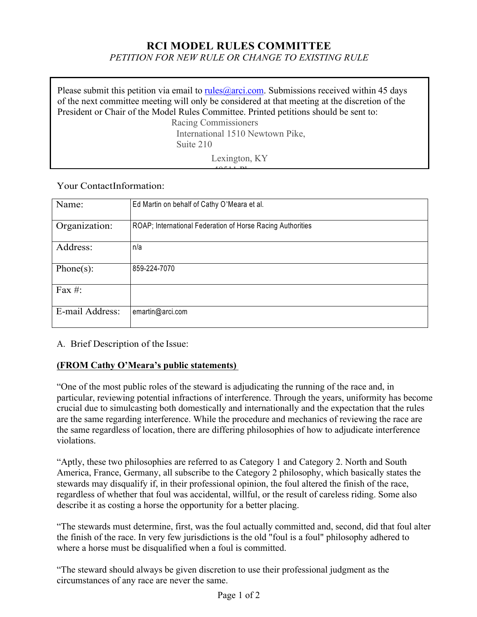## **RCI MODEL RULES COMMITTEE**

*PETITION FOR NEW RULE OR CHANGE TO EXISTING RULE*

Please submit this petition via email to rules  $@arci.com$ . Submissions received within 45 days of the next committee meeting will only be considered at that meeting at the discretion of the President or Chair of the Model Rules Committee. Printed petitions should be sent to: Racing Commissioners International 1510 Newtown Pike, Suite 210 Lexington, KY  $40511 B1$ 

Your ContactInformation:

| Name:           | Ed Martin on behalf of Cathy O'Meara et al.                |
|-----------------|------------------------------------------------------------|
| Organization:   | ROAP; International Federation of Horse Racing Authorities |
| Address:        | n/a                                                        |
| Phone $(s)$ :   | 859-224-7070                                               |
| Fax $#$ :       |                                                            |
| E-mail Address: | emartin@arci.com                                           |

A. Brief Description of the Issue:

## **(FROM Cathy O'Meara's public statements)**

"One of the most public roles of the steward is adjudicating the running of the race and, in particular, reviewing potential infractions of interference. Through the years, uniformity has become crucial due to simulcasting both domestically and internationally and the expectation that the rules are the same regarding interference. While the procedure and mechanics of reviewing the race are the same regardless of location, there are differing philosophies of how to adjudicate interference violations.

"Aptly, these two philosophies are referred to as Category 1 and Category 2. North and South America, France, Germany, all subscribe to the Category 2 philosophy, which basically states the stewards may disqualify if, in their professional opinion, the foul altered the finish of the race, regardless of whether that foul was accidental, willful, or the result of careless riding. Some also describe it as costing a horse the opportunity for a better placing.

"The stewards must determine, first, was the foul actually committed and, second, did that foul alter the finish of the race. In very few jurisdictions is the old "foul is a foul" philosophy adhered to where a horse must be disqualified when a foul is committed.

"The steward should always be given discretion to use their professional judgment as the circumstances of any race are never the same.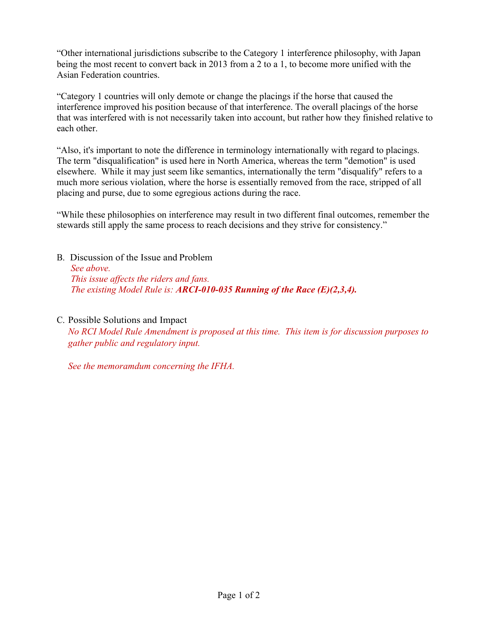"Other international jurisdictions subscribe to the Category 1 interference philosophy, with Japan being the most recent to convert back in 2013 from a 2 to a 1, to become more unified with the Asian Federation countries.

"Category 1 countries will only demote or change the placings if the horse that caused the interference improved his position because of that interference. The overall placings of the horse that was interfered with is not necessarily taken into account, but rather how they finished relative to each other.

"Also, it's important to note the difference in terminology internationally with regard to placings. The term "disqualification" is used here in North America, whereas the term "demotion" is used elsewhere. While it may just seem like semantics, internationally the term "disqualify" refers to a much more serious violation, where the horse is essentially removed from the race, stripped of all placing and purse, due to some egregious actions during the race.

"While these philosophies on interference may result in two different final outcomes, remember the stewards still apply the same process to reach decisions and they strive for consistency."

B. Discussion of the Issue and Problem *See above. This issue affects the riders and fans. The existing Model Rule is: ARCI-010-035 Running of the Race (E)(2,3,4).*

C. Possible Solutions and Impact

*No RCI Model Rule Amendment is proposed at this time. This item is for discussion purposes to gather public and regulatory input.*

*See the memoramdum concerning the IFHA.*